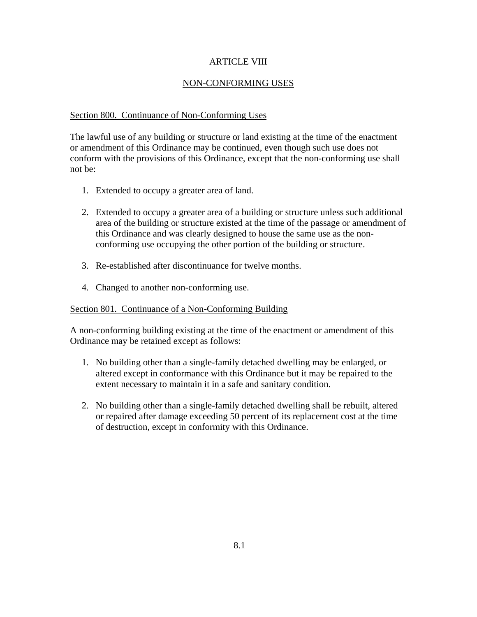# ARTICLE VIII

# NON-CONFORMING USES

## Section 800. Continuance of Non-Conforming Uses

The lawful use of any building or structure or land existing at the time of the enactment or amendment of this Ordinance may be continued, even though such use does not conform with the provisions of this Ordinance, except that the non-conforming use shall not be:

- 1. Extended to occupy a greater area of land.
- 2. Extended to occupy a greater area of a building or structure unless such additional area of the building or structure existed at the time of the passage or amendment of this Ordinance and was clearly designed to house the same use as the nonconforming use occupying the other portion of the building or structure.
- 3. Re-established after discontinuance for twelve months.
- 4. Changed to another non-conforming use.

#### Section 801. Continuance of a Non-Conforming Building

A non-conforming building existing at the time of the enactment or amendment of this Ordinance may be retained except as follows:

- 1. No building other than a single-family detached dwelling may be enlarged, or altered except in conformance with this Ordinance but it may be repaired to the extent necessary to maintain it in a safe and sanitary condition.
- 2. No building other than a single-family detached dwelling shall be rebuilt, altered or repaired after damage exceeding 50 percent of its replacement cost at the time of destruction, except in conformity with this Ordinance.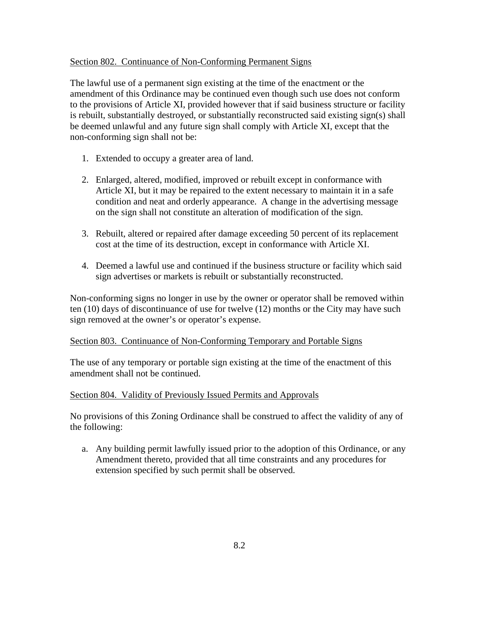### Section 802. Continuance of Non-Conforming Permanent Signs

The lawful use of a permanent sign existing at the time of the enactment or the amendment of this Ordinance may be continued even though such use does not conform to the provisions of Article XI, provided however that if said business structure or facility is rebuilt, substantially destroyed, or substantially reconstructed said existing sign(s) shall be deemed unlawful and any future sign shall comply with Article XI, except that the non-conforming sign shall not be:

- 1. Extended to occupy a greater area of land.
- 2. Enlarged, altered, modified, improved or rebuilt except in conformance with Article XI, but it may be repaired to the extent necessary to maintain it in a safe condition and neat and orderly appearance. A change in the advertising message on the sign shall not constitute an alteration of modification of the sign.
- 3. Rebuilt, altered or repaired after damage exceeding 50 percent of its replacement cost at the time of its destruction, except in conformance with Article XI.
- 4. Deemed a lawful use and continued if the business structure or facility which said sign advertises or markets is rebuilt or substantially reconstructed.

Non-conforming signs no longer in use by the owner or operator shall be removed within ten (10) days of discontinuance of use for twelve (12) months or the City may have such sign removed at the owner's or operator's expense.

## Section 803. Continuance of Non-Conforming Temporary and Portable Signs

The use of any temporary or portable sign existing at the time of the enactment of this amendment shall not be continued.

## Section 804. Validity of Previously Issued Permits and Approvals

No provisions of this Zoning Ordinance shall be construed to affect the validity of any of the following:

a. Any building permit lawfully issued prior to the adoption of this Ordinance, or any Amendment thereto, provided that all time constraints and any procedures for extension specified by such permit shall be observed.